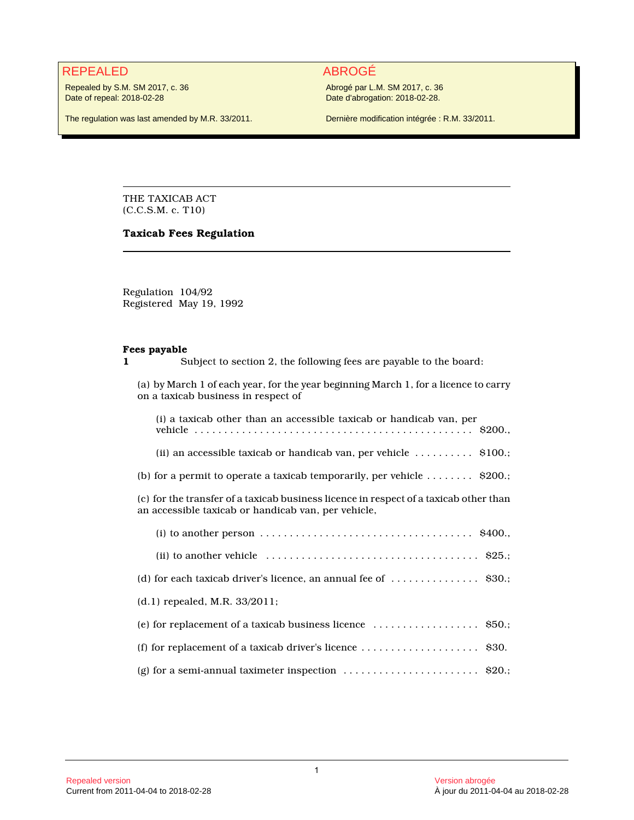### REPEALED ABROGÉ

Repealed by S.M. SM 2017, c. 36 Date of repeal: 2018-02-28

Abrogé par L.M. SM 2017, c. 36 Date d'abrogation: 2018-02-28.

The regulation was last amended by M.R. 33/2011.

Dernière modification intégrée : R.M. 33/2011.

THE TAXICAB ACT (C.C.S.M. c. T10)

#### **Taxicab Fees Regulation**

Regulation 104/92 Registered May 19, 1992

#### **Fees payable**

Subject to section 2, the following fees are payable to the board:

(a) by March 1 of each year, for the year beginning March 1, for a licence to carry on a taxicab business in respect of

| (i) a taxicab other than an accessible taxicab or handicab van, per                                                                          |
|----------------------------------------------------------------------------------------------------------------------------------------------|
| (ii) an accessible taxicab or handicab van, per vehicle $\dots \dots \dots$ \$100.                                                           |
| (b) for a permit to operate a taxicab temporarily, per vehicle $\dots \dots$ \$200.;                                                         |
| (c) for the transfer of a taxicab business licence in respect of a taxicab other than<br>an accessible taxicab or handicab van, per vehicle, |
| (i) to another person $\dots \dots \dots \dots \dots \dots \dots \dots \dots \dots \dots$ \$400.                                             |
| (ii) to another vehicle $\dots \dots \dots \dots \dots \dots \dots \dots \dots \dots \dots$ \$25.;                                           |
| (d) for each taxicab driver's licence, an annual fee of $\dots\dots\dots\dots$ . $\$30$ .;                                                   |
| (d.1) repealed, M.R. 33/2011;                                                                                                                |
| (e) for replacement of a taxicab business licence $\ldots \ldots \ldots \ldots$ \$50.;                                                       |
| (f) for replacement of a taxicab driver's licence $\ldots \ldots \ldots \ldots \ldots$ \$30.                                                 |
| (g) for a semi-annual taximeter inspection $\ldots \ldots \ldots \ldots \ldots \ldots$ \$20.;                                                |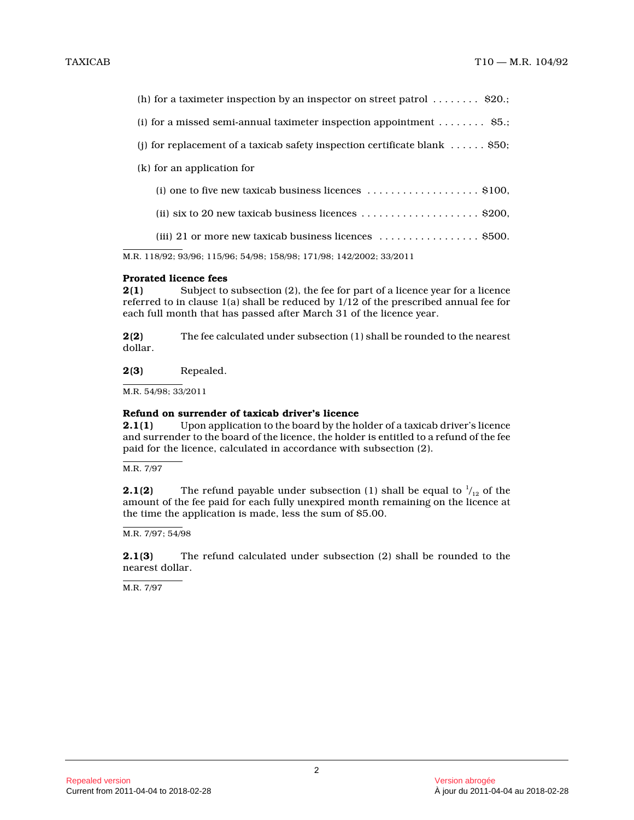M.R. 118/92; 93/96; 115/96; 54/98; 158/98; 171/98; 142/2002; 33/2011

#### **Prorated licence fees**

**2(1)** Subject to subsection (2), the fee for part of a licence year for a licence referred to in clause 1(a) shall be reduced by 1/12 of the prescribed annual fee for each full month that has passed after March 31 of the licence year.

**2(2)** The fee calculated under subsection (1) shall be rounded to the nearest dollar.

**2(3)** Repealed.

M.R. 54/98; 33/2011

## **Refund on surrender of taxicab driver's licence**<br>**2.1(1)** Upon application to the board by the ho

**2.1(1)** Upon application to the board by the holder of a taxicab driver's licence and surrender to the board of the licence, the holder is entitled to a refund of the fee paid for the licence, calculated in accordance with subsection (2).

M.R. 7/97

**2.1(2)** The refund payable under subsection (1) shall be equal to  $\frac{1}{12}$  of the amount of the fee paid for each fully unexpired month remaining on the licence at the time the application is made, less the sum of \$5.00.

M.R. 7/97; 54/98

**2.1(3)** The refund calculated under subsection (2) shall be rounded to the nearest dollar.

M.R. 7/97